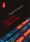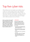# Top five cyber risks

When setting up your new business, you are likely to rely on a variety of IT, such as smart devices, PCs and cloud-based systems. You could be holding customer data, employee information and possibly detailed product designs. These are likely to be of interest to cyber criminals – no matter how small your business. An awareness and basic understanding of the threats posed in a cyber-world will help protect your digital assets, intellectual property and your business.

There is a common misconception that small businesses are rarely a target for hackers because of their smaller size and lack of valuable data. However, any information stored on your systems might be interesting to criminals. Here are the current top five cyber threats that you should be aware of.

#### **1. Ransomware**

This is a form of malware (malicious software) that attempts to encrypt (scramble) your data and then extort a ransom to release an unlock code. Most ransomware is delivered via malicious emails. Follow these key steps to protect your company.

- Staff awareness: staff should be wary of unsolicited emails, particularly those that ask for a prompt response.
- Malware protection: install and maintain good anti-virus and malware protection software.
- Software updates: keep your applications up to date.
- Data backups: a series of well managed data backups will allow you to recover from an unencrypted version of a file. Make sure you regularly test your backups.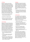### **2. Phishing**

Phishing is an attempt to gain sensitive information while posing as a trustworthy contact, for example a bank or online service. Spear phishing is a highly targeted attempt to gain information from an individual. Phishing emails may look completely convincing, often with faultless wording and genuine logos. There is a form of spear phishing, where a fake email from a CEO applies pressure on a CFO into making an urgent payment, this has become known as Whaling. It is worth considering ways to add additional safeguards to protect the identity of CEOs and CFOs to prevent impersonation. Here are a few steps you can use to protect yourself.

- Keep in mind that companies simply do not ask for sensitive information.
- Be suspicious of unexpected emails.
- Make use of anti-malware software.
- Make sure you have spam filters turned on. Check them regularly in case they have accidentally trapped an innocent email.

### **3. Data leakage**

While cyber security in the office may seem challenging, it is essential to understand that security extends well beyond the office these days. The use of smart phones and tablets has become widespread. The ubiquitous and cheap nature of portable storage devices makes them a useful tool for the backup and transportation of data. Those features mean they are also a target for data thieves. The following pointers provide useful first steps to prevent data leaking from your organisation.

- Ensure mobile devices have passcode locks.
- Turn on the tracking by GPS and the option to remotely wipe the device if it is lost.
- The use of encryption software is highly recommended when using portable storage devices.
- Keep an eye on your mobile devices and paperwork at all times. A large proportion of crime is opportunistic, taking your eye off your briefcase or smart device could result in a serious loss of data.

#### **4. Hacking**

Gaining access to IT systems from outside an organisation still offers rich pickings for criminals. Traditionally they have attempted to gain access to bank account information or credit card databases. However, intellectual property is another source of value. The use of social engineering, tricking staff into revealing user names and passwords, remains a threat.

• The primary methods to protect yourself from hacking are network firewalls, data access security, procedures for providing and removing access, and user awareness and training.

#### **5. Insider threat**

If your organisation employs staff (full time or as contractors), there is a possibility they could leak data by mistake or maliciously. The potential damage from a leak of documents cannot be underestimated. Use these tips to mitigate the size of any data leak.

- Educate your team to be alert to issues and minimise careless mistakes.
- Limit how much data staff has access to. The principle of 'least privilege access' should apply to all IT systems. Only provide staff with the minimum access they need to do their roles.
- Control the use of portable storage devices, such as USB memory keys, portable hard drives and media players.
- Consider using applications in certain situations to monitor staff behaviour − who copies what.

In all these areas it is key to remember that alongside technology, well-developed processes, procedures and staff training go a long way to protecting your valuable data. For example, if someone leaves your employment, make sure you remove their access. The reality today is that you should protect your digital assets with the same vigilance as you do when locking your office door at the end of the day.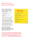### What to do if you have been breached

If the worst happens and you discover you have been breached, the following actions will help to contain the situation.

- Change your passwords, ensuring they are strong
- Call your bank and credit card companies
- Consider shutting your systems down
- Report the incident to ActionFraud
- Communicate to all involved, both external and internal. It is important all stakeholders, including customers and clients, understand what has happened.
- If appropriate, engage a third party expert to assess the extent of the breach and advise on corrective action.
- Document everything you do.

**Consider creating an Incident Response Plan, outlining what you will do in the case of a breach – and ideally before you are compromised.**

### >> Useful sources of information

ICAEW Cyber Resource Centre **[icaew.com/cyber](http://icaew.com/cyber)**

10 Steps to Cyber Security for Smaller Firms **[icaew.com](http://icaew.com)/10steps**

Information Commissioners Office **[ico.org.uk](http://ico.org.uk)**

Get Safe Online **[Getsafeonline.org/businesses](http://Getsafeonline.org/businesses)**

**ActionFraud [actionfraud.police.uk](http://actionfraud.police.uk)**

If you need further help with getting to grips with cyber security, a free initial discussion with an ICAEW Chartered Accountant is a good place to start. Visit **businessadviceservice.com**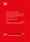



### Prepare for business

Decisions you take in the early years of your business can be the most difficult as well as the most important, particularly if you are a first-time entrepreneur.

### Prepare for success

The **ICAEW Business Advice Service** experts will help you make those crucial first steps and then grow your business with confidence.